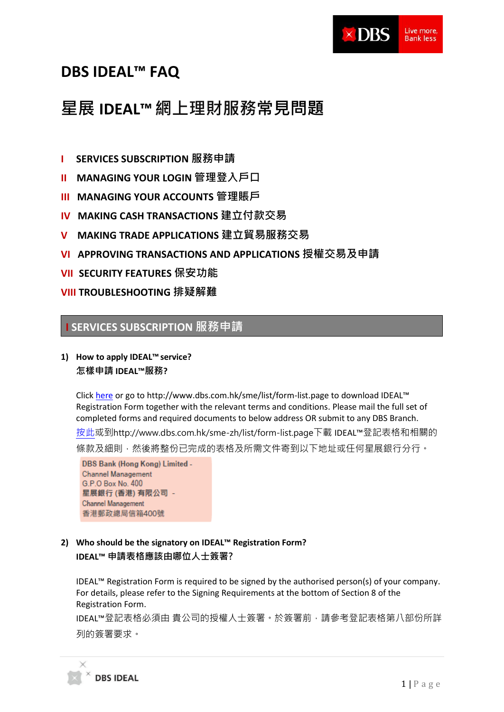

# **DBS IDEAL™ FAQ**

# **星展 IDEAL™網上理財服務常見問題**

- **I SERVICES SUBSCRIPTION 服務申請**
- **II MANAGING YOUR LOGIN 管理登入戶口**
- **III MANAGING YOUR ACCOUNTS 管理賬戶**
- **IV MAKING CASH TRANSACTIONS 建立付款交易**
- **V MAKING TRADE APPLICATIONS 建立貿易服務交易**
- **VI APPROVING TRANSACTIONS AND APPLICATIONS 授權交易及申請**
- **VII SECURITY FEATURES 保安功能**

# **VIII TROUBLESHOOTING 排疑解難**

# **I SERVICES SUBSCRIPTION 服務申請**

### **1) How to apply IDEAL™service? 怎樣申請 IDEAL™服務?**

Click [here](http://www.dbs.com.hk/sme/list/form-list.page) or go to http://www.dbs.com.hk/sme/list/form-list.page to download IDEAL™ Registration Form together with the relevant terms and conditions. Please mail the full set of completed forms and required documents to below address OR submit to any DBS Branch. [按此或](http://www.dbs.com.hk/sme-zh/list/form-list.page)到http://www.dbs.com.hk/sme-zh/list/form-list.page下載 IDEAL™登記表格和相關的

條款及細則,然後將整份已完成的表格及所需文件寄到以下地址或任何星展銀行分行。

DBS Bank (Hong Kong) Limited -**Channel Management** G.P.O Box No. 400 星展銀行 (香港) 有限公司 -Channel Management 香港郵政總局信箱400號

### **2) Who should be the signatory on IDEAL™ Registration Form? IDEAL™ 申請表格應該由哪位人士簽署?**

IDEAL™ Registration Form is required to be signed by the authorised person(s) of your company. For details, please refer to the Signing Requirements at the bottom of Section 8 of the Registration Form.

IDEAL™登記表格必須由 貴公司的授權人士簽署。於簽署前,請參考登記表格第八部份所詳 列的簽署要求。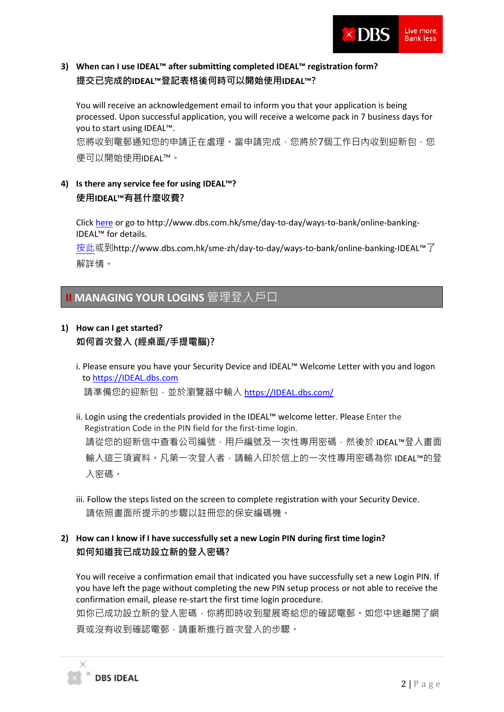

# **3) When can I use IDEAL™ after submitting completed IDEAL™ registration form? 提交已完成的IDEAL™登記表格後何時可以開始使用IDEAL™?**

You will receive an acknowledgement email to inform you that your application is being processed. Upon successful application, you will receive a welcome pack in 7 business days for you to start using IDEAL™.

您將收到電郵通知您的申請正在處理。當申請完成,您將於7個工作日內收到迎新包,您 便可以開始使用IDEAL™。

# **4) Is there any service fee for using IDEAL™? 使用IDEAL™有甚什麼收費?**

Click [here](http://www.dbs.com.hk/sme/day-to-day/ways-to-bank/online-banking-ideal) or go to http://www.dbs.com.hk/sme/day-to-day/ways-to-bank/online-banking-IDEAL™ for details.

[按此或](http://www.dbs.com.hk/sme-zh/day-to-day/ways-to-bank/online-banking-ideal)到http://www.dbs.com.hk/sme-zh/day-to-day/ways-to-bank/online-banking-IDEAL™了 解詳情。

# **II MANAGING YOUR LOGINS** 管理登入戶口

# **1) How can I get started?**

### **如何首次登入 (經桌面/手提電腦)?**

- i. Please ensure you have your Security Device and IDEAL™ Welcome Letter with you and logon to [https://IDEAL.dbs.com](https://ideal.dbs.com/) 請準備您的迎新包,並於瀏覽器中輸入 [https://IDEAL.dbs.com/](https://ideal.dbs.com/)
- ii. Login using the credentials provided in the IDEAL™ welcome letter. Please Enter the Registration Code in the PIN field for the first-time login. 請從您的迎新信中查看公司編號,用戶編號及一次性專用密碼,然後於 IDEAL™登入畫面 輸入這三項資料。凡第一次登入者,請輸入印於信上的一次性專用密碼為你 IDEAL™的登 入密碼。
- iii. Follow the steps listed on the screen to complete registration with your Security Device. 請依照畫面所提示的步驟以註冊您的保安編碼機。

### **2) How can I know if I have successfully set a new Login PIN during first time login? 如何知道我已成功設立新的登入密碼?**

You will receive a confirmation email that indicated you have successfully set a new Login PIN. If you have left the page without completing the new PIN setup process or not able to receive the confirmation email, please re-start the first time login procedure.

如你已成功設立新的登入密碼,你將即時收到星展寄給您的確認電郵。如您中途離開了網 頁或沒有收到確認電郵,請重新進行首次登入的步驟。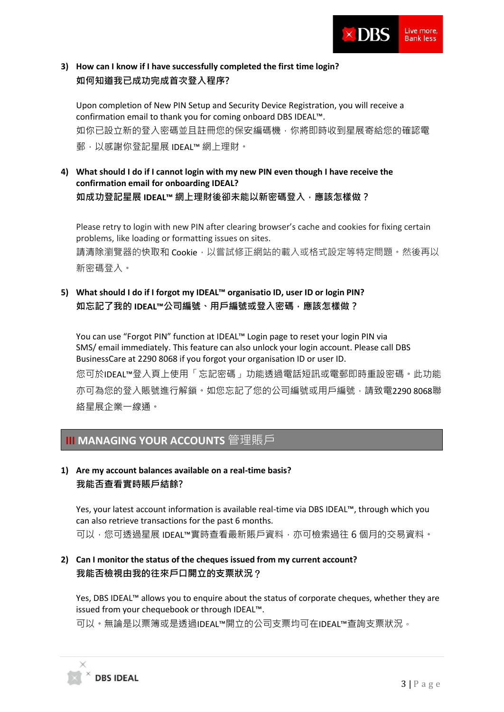

# **3) How can I know if I have successfully completed the first time login? 如何知道我已成功完成首次登入程序?**

Upon completion of New PIN Setup and Security Device Registration, you will receive a confirmation email to thank you for coming onboard DBS IDEAL™. 如你已設立新的登入密碼並且註冊您的保安編碼機,你將即時收到星展寄給您的確認電 郵,以感謝你登記星展 IDEAL™ 網上理財。

**4) What should I do if I cannot login with my new PIN even though I have receive the confirmation email for onboarding IDEAL? 如成功登記星展 IDEAL™ 網上理財後卻未能以新密碼登入,應該怎樣做?**

Please retry to login with new PIN after clearing browser's cache and cookies for fixing certain problems, like loading or formatting issues on sites.

請清除瀏覽器的快取和 Cookie,以嘗試修正網站的載入或格式設定等特定問題。然後再以 新密碼登入。

# **5) What should I do if I forgot my IDEAL™ organisatio ID, user ID or login PIN? 如忘記了我的 IDEAL™公司編號、用戶編號或登入密碼,應該怎樣做?**

You can use "Forgot PIN" function at IDEAL™ Login page to reset your login PIN via SMS/ email immediately. This feature can also unlock your login account. Please call DBS BusinessCare at 2290 8068 if you forgot your organisation ID or user ID. 您可於IDEAL™登入頁上使用「忘記密碼」功能透過電話短訊或電郵即時重設密碼。此功能 亦可為您的登入賬號進行解鎖。如您忘記了您的公司編號或用戶編號,請致電2290 8068聯 絡星展企業一線通。

# **III MANAGING YOUR ACCOUNTS** 管理賬戶

# **1) Are my account balances available on a real-time basis? 我能否查看實時賬戶結餘?**

Yes, your latest account information is available real-time via DBS IDEAL™, through which you can also retrieve transactions for the past 6 months. 可以,您可透過星展 IDEAL™實時查看最新賬戶資料,亦可檢索過往6個月的交易資料。

# **2) Can I monitor the status of the cheques issued from my current account? 我能否檢視由我的往來戶口開立的支票狀況**?

Yes, DBS IDEAL™ allows you to enquire about the status of corporate cheques, whether they are issued from your chequebook or through IDEAL™.

可以。無論是以票簿或是透過IDEAL™開立的公司支票均可在IDEAL™查詢支票狀況。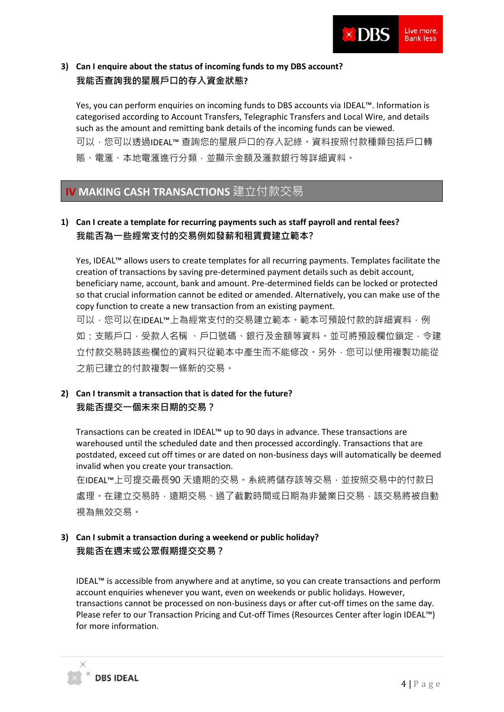

# **3) Can I enquire about the status of incoming funds to my DBS account? 我能否查詢我的星展戶口的存入資金狀態?**

Yes, you can perform enquiries on incoming funds to DBS accounts via IDEAL™. Information is categorised according to Account Transfers, Telegraphic Transfers and Local Wire, and details such as the amount and remitting bank details of the incoming funds can be viewed. 可以,您可以透過IDEAL™ 查詢您的星展戶口的存入記綠。資料按照付款種類包括戶口轉 賬、電滙、本地電滙進行分類,並顯示金額及滙款銀行等詳細資料。

# **IV MAKING CASH TRANSACTIONS** 建立付款交易

### **1) Can I create a template for recurring payments such as staff payroll and rental fees? 我能否為一些經常支付的交易例如發薪和租賃費建立範本?**

Yes, IDEAL™ allows users to create templates for all recurring payments. Templates facilitate the creation of transactions by saving pre-determined payment details such as debit account, beneficiary name, account, bank and amount. Pre-determined fields can be locked or protected so that crucial information cannot be edited or amended. Alternatively, you can make use of the copy function to create a new transaction from an existing payment.

可以,您可以在IDFAL™上為經常支付的交易建立範本。範本可預設付款的詳細資料,例 如 : 支賬戶口 · 受款人名稱 、戶口號碼、銀行及金額等資料。並可將預設欄位鎖定,令建 立付款交易時該些欄位的資料只從範本中產生而不能修改。另外,您可以使用複製功能從 之前已建立的付款複製一條新的交易。

# **2) Can I transmit a transaction that is dated for the future? 我能否提交一個未來日期的交易?**

Transactions can be created in IDEAL™ up to 90 days in advance. These transactions are warehoused until the scheduled date and then processed accordingly. Transactions that are postdated, exceed cut off times or are dated on non-business days will automatically be deemed invalid when you create your transaction.

在IDEAL™上可提交最長90 天遠期的交易。系統將儲存該等交易,並按照交易中的付款日 處理。在建立交易時,遠期交易、過了截數時間或日期為非營業日交易,該交易將被自動 視為無效交易。

# **3) Can I submit a transaction during a weekend or public holiday? 我能否在週末或公眾假期提交交易?**

**DBS IDEAL** 

IDEAL™ is accessible from anywhere and at anytime, so you can create transactions and perform account enquiries whenever you want, even on weekends or public holidays. However, transactions cannot be processed on non-business days or after cut-off times on the same day. Please refer to our Transaction Pricing and Cut-off Times (Resources Center after login IDEAL™) for more information.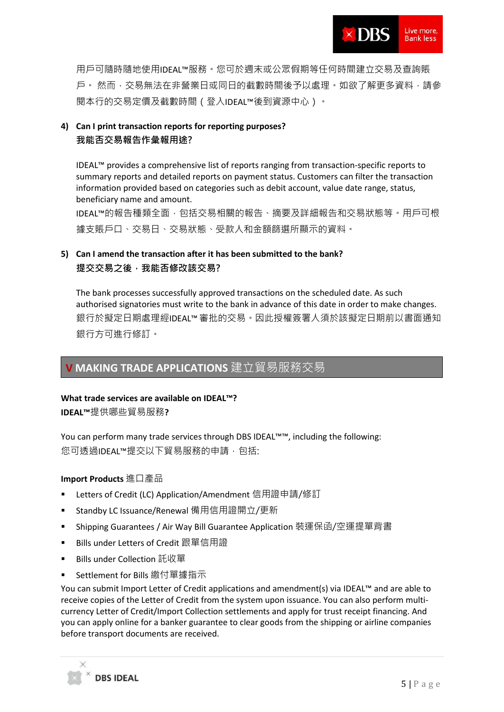用戶可隨時隨地使用IDEAL™服務。您可於週末或公眾假期等任何時間建立交易及查詢賬 戶。 然而,交易無法在非營業日或同日的截數時間後予以處理。如欲了解更多資料,請參 閱本行的交易定價及截數時間(登入IDEAL™後到資源中心)。

# **4) Can I print transaction reports for reporting purposes? 我能否交易報告作彙報用途?**

IDEAL™ provides a comprehensive list of reports ranging from transaction-specific reports to summary reports and detailed reports on payment status. Customers can filter the transaction information provided based on categories such as debit account, value date range, status, beneficiary name and amount.

IDEAL™的報告種類全面,包括交易相關的報告、摘要及詳細報告和交易狀態等。用戶可根 據支賬戶口、交易日、交易狀態、受款人和金額篩選所顯示的資料。

# **5) Can I amend the transaction after it has been submitted to the bank? 提交交易之後,我能否修改該交易?**

The bank processes successfully approved transactions on the scheduled date. As such authorised signatories must write to the bank in advance of this date in order to make changes. 銀行於擬定日期處理經IDEAL™審批的交易。因此授權簽署人須於該擬定日期前以書面通知 銀行方可進行修訂。

# **V MAKING TRADE APPLICATIONS** 建立貿易服務交易

#### **What trade services are available on IDEAL™?**

**IDEAL™**提供哪些貿易服務**?** 

You can perform many trade services through DBS IDEAL™™, including the following: 您可诱渦IDFAL™提交以下貿易服務的申請, 句括:

#### **Import Products** 進口產品

- Letters of Credit (LC) Application/Amendment 信用證申請/修訂
- Standby LC Issuance/Renewal 備用信用證開立/更新
- Shipping Guarantees / Air Way Bill Guarantee Application 裝運保函/空運提單背書
- Bills under Letters of Credit 跟單信用證
- Bills under Collection 託收單
- Settlement for Bills 繳付單據指示

You can submit Import Letter of Credit applications and amendment(s) via IDEAL™ and are able to receive copies of the Letter of Credit from the system upon issuance. You can also perform multicurrency Letter of Credit/Import Collection settlements and apply for trust receipt financing. And you can apply online for a banker guarantee to clear goods from the shipping or airline companies before transport documents are received.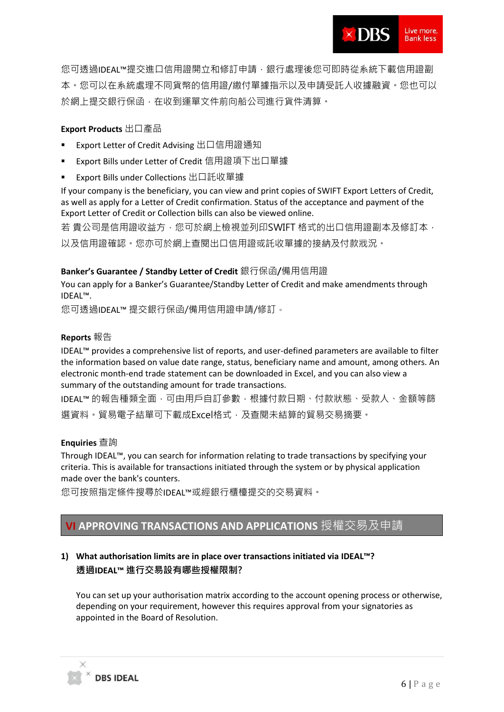您可透過IDEAL™提交進口信用證開立和修訂申請,銀行處理後您可即時從系統下載信用證副 本。您可以在系統處理不同貨幣的信用證/繳付單據指示以及申請受託人收據融資。您也可以 於網上提交銀行保函,在收到運單文件前向船公司進行貨件清算。

### **Export Products** 出口產品

- Export Letter of Credit Advising 出口信用證通知
- Export Bills under Letter of Credit 信用證項下出口單據
- Export Bills under Collections 出口託收單據

If your company is the beneficiary, you can view and print copies of SWIFT Export Letters of Credit, as well as apply for a Letter of Credit confirmation. Status of the acceptance and payment of the Export Letter of Credit or Collection bills can also be viewed online.

若 貴公司是信用證收益方,您可於網上檢視並列印SWIFT 格式的出口信用證副本及修訂本, 以及信用證確認。您亦可於網上查閱出口信用證或託收單據的接納及付款戕況。

### **Banker's Guarantee / Standby Letter of Credit** 銀行保函**/**備用信用證

You can apply for a Banker's Guarantee/Standby Letter of Credit and make amendments through IDEAL™.

您可透過IDEAL™ 提交銀行保函/備用信用證申請/修訂。

#### **Reports** 報告

IDEAL™ provides a comprehensive list of reports, and user-defined parameters are available to filter the information based on value date range, status, beneficiary name and amount, among others. An electronic month-end trade statement can be downloaded in Excel, and you can also view a summary of the outstanding amount for trade transactions.

IDEAL™ 的報告種類全面,可由用戶自訂參數,根據付款日期、付款狀態、受款人、金額等篩 選資料。貿易電子結單可下載成Excel格式,及查閱未結算的貿易交易摘要。

#### **Enquiries** 查詢

Through IDEAL™, you can search for information relating to trade transactions by specifying your criteria. This is available for transactions initiated through the system or by physical application made over the bank's counters.

您可按照指定條件搜尋於IDEAL™或經銀行櫃檯提交的交易資料。

# **VI APPROVING TRANSACTIONS AND APPLICATIONS** 授權交易及申請

# **1) What authorisation limits are in place over transactions initiated via IDEAL™? 透過IDEAL™ 進行交易設有哪些授權限制?**

You can set up your authorisation matrix according to the account opening process or otherwise, depending on your requirement, however this requires approval from your signatories as appointed in the Board of Resolution.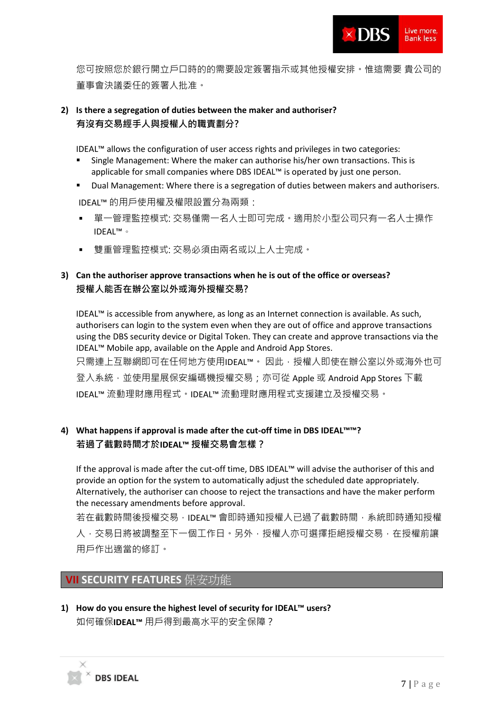

您可按照您於銀行開立戶口時的的需要設定簽署指示或其他授權安排。惟這需要 貴公司的 董事會決議委任的簽署人批准。

### **2) Is there a segregation of duties between the maker and authoriser? 有沒有交易經手人與授權人的職責劃分?**

IDEAL™ allows the configuration of user access rights and privileges in two categories:

- Single Management: Where the maker can authorise his/her own transactions. This is applicable for small companies where DBS IDEAL™ is operated by just one person.
- Dual Management: Where there is a segregation of duties between makers and authorisers. IDEAL™ 的用戶使用權及權限設置分為兩類:
- 單一管理監控模式: 交易僅需一名人士即可完成。適用於小型公司只有一名人士操作 IDEAL™。
- 雙重管理監控模式: 交易必須由兩名或以上人十完成。

### **3) Can the authoriser approve transactions when he is out of the office or overseas? 授權人能否在辦公室以外或海外授權交易?**

IDEAL™ is accessible from anywhere, as long as an Internet connection is available. As such, authorisers can login to the system even when they are out of office and approve transactions using the DBS security device or Digital Token. They can create and approve transactions via the IDEAL™ Mobile app, available on the Apple and Android App Stores. 只需連上互聯網即可在任何地方使用IDEAL™。因此,授權人即使在辦公室以外或海外也可 登入系統,並使用星展保安編碼機授權交易;亦可從 Apple 或 Android App Stores 下載 IDEAL™ 流動理財應用程式。IDEAL™ 流動理財應用程式支援建立及授權交易。

### **4) What happens if approval is made after the cut-off time in DBS IDEAL™™? 若過了截數時間才於IDEAL™ 授權交易會怎樣?**

If the approval is made after the cut-off time, DBS IDEAL™ will advise the authoriser of this and provide an option for the system to automatically adjust the scheduled date appropriately. Alternatively, the authoriser can choose to reject the transactions and have the maker perform the necessary amendments before approval.

若在截數時間後授權交易,IDEAL™ 會即時通知授權人已過了截數時間,系統即時通知授權 人,交易日將被調整至下一個工作日。另外,授權人亦可選擇拒絕授權交易,在授權前讓 用戶作出適當的修訂。

# **VII SECURITY FEATURES** 保安功能

**1) How do you ensure the highest level of security for IDEAL™ users?**  如何確保**IDEAL™** 用戶得到最高水平的安全保障?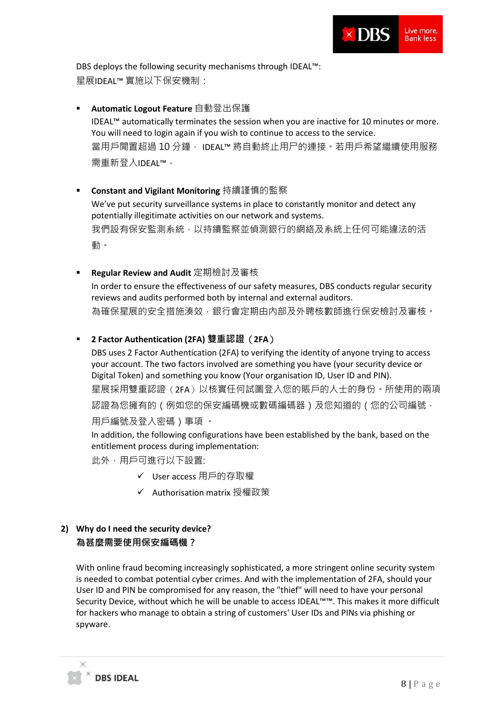

DBS deploys the following security mechanisms through IDEAL™: 星展IDEAL™ 實施以下保安機制:

- **Automatic Logout Feature** 自動登出保護 IDEAL™ automatically terminates the session when you are inactive for 10 minutes or more. You will need to login again if you wish to continue to access to the service. 當用戶閒置超過 10 分鐘, IDEAL™ 將自動終止用尸的連接。若用戶希望繼續使用服務 需重新登入IDEAL™。
- Constant and Vigilant Monitoring 持續謹慎的監察 We've put security surveillance systems in place to constantly monitor and detect any potentially illegitimate activities on our network and systems. 我們設有保安監測系統,以持續監察並偵測銀行的網絡及系統上任何可能違法的活 動。
- **Regular Review and Audit** 定期檢討及審核 In order to ensure the effectiveness of our safety measures, DBS conducts regular security reviews and audits performed both by internal and external auditors. 為確保星展的安全措施湊效,銀行會定期由內部及外聘核數師進行保安檢討及審核。
- **2 Factor Authentication (2FA) 雙重認證**(**2FA**)

DBS uses 2 Factor Authentication (2FA) to verifying the identity of anyone trying to access your account. The two factors involved are something you have (your security device or Digital Token) and something you know (Your organisation ID, User ID and PIN). 星展採用雙重認證(2FA)以核實任何試圖登入您的賬戶的人士的身份。所使用的兩項 認證為您擁有的(例如您的保安編碼機或數碼編碼器)及您知道的(您的公司編號, 用戶編號及登入密碼)事項 。

In addition, the following configurations have been established by the bank, based on the entitlement process during implementation:

此外,用戶可進行以下設置;

- ✓ User access 用戶的存取權
- ✓ Authorisation matrix 授權政策

# **2) Why do I need the security device? 為甚麼需要使用保安編碼機?**

With online fraud becoming increasingly sophisticated, a more stringent online security system is needed to combat potential cyber crimes. And with the implementation of 2FA, should your User ID and PIN be compromised for any reason, the "thief" will need to have your personal Security Device, without which he will be unable to access IDEAL™™. This makes it more difficult for hackers who manage to obtain a string of customers' User IDs and PINs via phishing or spyware.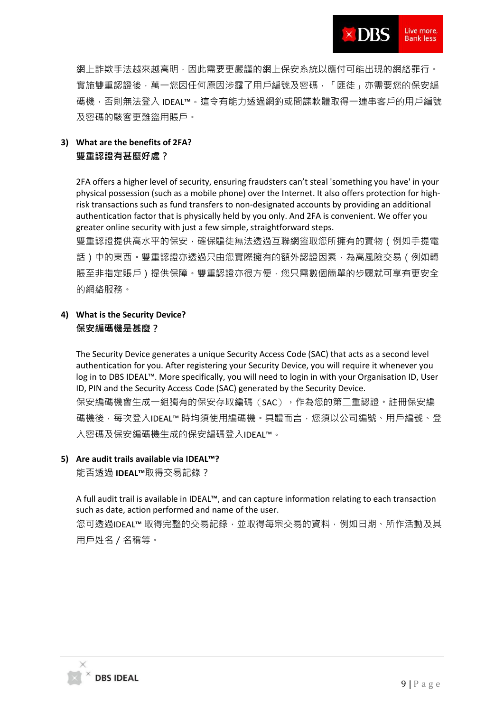網上詐欺手法越來越高明,因此需要更嚴謹的網上保安系統以應付可能出現的網絡罪行。 實施雙重認證後,萬一您因任何原因涉露了用戶編號及密碼,「匪徒」亦需要您的保安編 碼機,否則無法登入 IDEAL™。這令有能力透過網釣或間諜軟體取得一連串客戶的用戶編號 及密碼的駭客更難盜用賬戶。

# **3) What are the benefits of 2FA? 雙重認證有甚麼好處?**

2FA offers a higher level of security, ensuring fraudsters can't steal 'something you have' in your physical possession (such as a mobile phone) over the Internet. It also offers protection for highrisk transactions such as fund transfers to non-designated accounts by providing an additional authentication factor that is physically held by you only. And 2FA is convenient. We offer you greater online security with just a few simple, straightforward steps.

雙重認證提供高水平的保安,確保騙徒無法透過互聯網盜取您所擁有的實物(例如手提電 話)中的東西。雙重認證亦透過只由您實際擁有的額外認證因素,為高風險交易(例如轉 **賬至非指定賬戶)提供保障。雙重認證亦很方便,您只需數個簡單的步驟就可享有更安全** 的網絡服務。

# **4) What is the Security Device? 保安編碼機是甚麼?**

The Security Device generates a unique Security Access Code (SAC) that acts as a second level authentication for you. After registering your Security Device, you will require it whenever you log in to DBS IDEAL™. More specifically, you will need to login in with your Organisation ID, User ID, PIN and the Security Access Code (SAC) generated by the Security Device. 保安編碼機會生成一組獨有的保安存取編碼(SAC),作為您的第二重認證。註冊保安編 碼機後,每次登入IDEAL™ 時均須使用編碼機。具體而言,您須以公司編號、用戶編號、登 入密碼及保安編碼機生成的保安編碼登入IDEAL™。

#### **5) Are audit trails available via IDEAL™?**

能否透過 **IDEAL™**取得交易記錄?

A full audit trail is available in IDEAL™, and can capture information relating to each transaction such as date, action performed and name of the user. 您可透過IDEAL™ 取得完整的交易記錄,並取得每宗交易的資料,例如日期、所作活動及其 用戶姓名/名稱等。